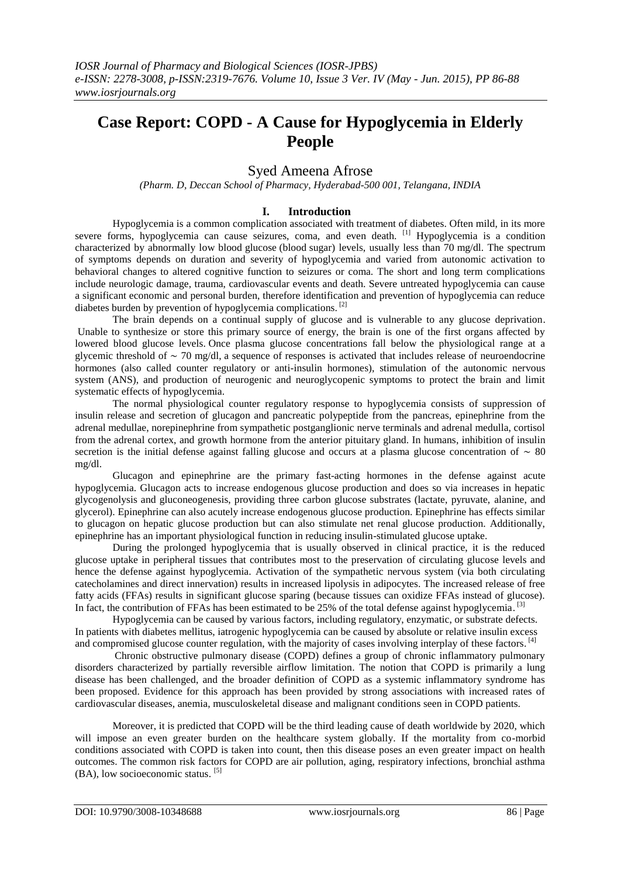# **Case Report: COPD - A Cause for Hypoglycemia in Elderly People**

# Syed Ameena Afrose

*(Pharm. D, Deccan School of Pharmacy, Hyderabad-500 001, Telangana, INDIA*

## **I. Introduction**

Hypoglycemia is a common complication associated with treatment of diabetes. Often mild, in its more severe forms, hypoglycemia can cause seizures, coma, and even death. <sup>[1]</sup> Hypoglycemia is a condition characterized by abnormally low blood glucose (blood sugar) levels, usually less than 70 mg/dl. The spectrum of symptoms depends on duration and severity of hypoglycemia and varied from autonomic activation to behavioral changes to altered cognitive function to seizures or coma. The short and long term complications include neurologic damage, trauma, cardiovascular events and death. Severe untreated hypoglycemia can cause a significant economic and personal burden, therefore identification and prevention of hypoglycemia can reduce diabetes burden by prevention of hypoglycemia complications.<sup>[2]</sup>

The brain depends on a continual supply of glucose and is vulnerable to any glucose deprivation. Unable to synthesize or store this primary source of energy, the brain is one of the first organs affected by lowered blood glucose levels. Once plasma glucose concentrations fall below the physiological range at a glycemic threshold of ∼ 70 mg/dl, a sequence of responses is activated that includes release of neuroendocrine hormones (also called counter regulatory or anti-insulin hormones), stimulation of the autonomic nervous system (ANS), and production of neurogenic and neuroglycopenic symptoms to protect the brain and limit systematic effects of hypoglycemia.

The normal physiological counter regulatory response to hypoglycemia consists of suppression of insulin release and secretion of glucagon and pancreatic polypeptide from the pancreas, epinephrine from the adrenal medullae, norepinephrine from sympathetic postganglionic nerve terminals and adrenal medulla, cortisol from the adrenal cortex, and growth hormone from the anterior pituitary gland. In humans, inhibition of insulin secretion is the initial defense against falling glucose and occurs at a plasma glucose concentration of ∼ 80 mg/dl.

Glucagon and epinephrine are the primary fast-acting hormones in the defense against acute hypoglycemia. Glucagon acts to increase endogenous glucose production and does so via increases in hepatic glycogenolysis and gluconeogenesis, providing three carbon glucose substrates (lactate, pyruvate, alanine, and glycerol). Epinephrine can also acutely increase endogenous glucose production. Epinephrine has effects similar to glucagon on hepatic glucose production but can also stimulate net renal glucose production. Additionally, epinephrine has an important physiological function in reducing insulin-stimulated glucose uptake.

During the prolonged hypoglycemia that is usually observed in clinical practice, it is the reduced glucose uptake in peripheral tissues that contributes most to the preservation of circulating glucose levels and hence the defense against hypoglycemia. Activation of the sympathetic nervous system (via both circulating catecholamines and direct innervation) results in increased lipolysis in adipocytes. The increased release of free fatty acids (FFAs) results in significant glucose sparing (because tissues can oxidize FFAs instead of glucose). In fact, the contribution of FFAs has been estimated to be 25% of the total defense against hypoglycemia.<sup>[3]</sup>

Hypoglycemia can be caused by various factors, including regulatory, enzymatic, or substrate defects. In patients with diabetes mellitus, iatrogenic hypoglycemia can be caused by absolute or relative insulin excess and compromised glucose counter regulation, with the majority of cases involving interplay of these factors.<sup>[4]</sup>

Chronic obstructive pulmonary disease (COPD) defines a group of chronic inflammatory pulmonary disorders characterized by partially reversible airflow limitation. The notion that COPD is primarily a lung disease has been challenged, and the broader definition of COPD as a systemic inflammatory syndrome has been proposed. Evidence for this approach has been provided by strong associations with increased rates of cardiovascular diseases, anemia, musculoskeletal disease and malignant conditions seen in COPD patients.

Moreover, it is predicted that COPD will be the third leading cause of death worldwide by 2020, which will impose an even greater burden on the healthcare system globally. If the mortality from co-morbid conditions associated with COPD is taken into count, then this disease poses an even greater impact on health outcomes. The common risk factors for COPD are air pollution, aging, respiratory infections, bronchial asthma (BA), low socioeconomic status. [5]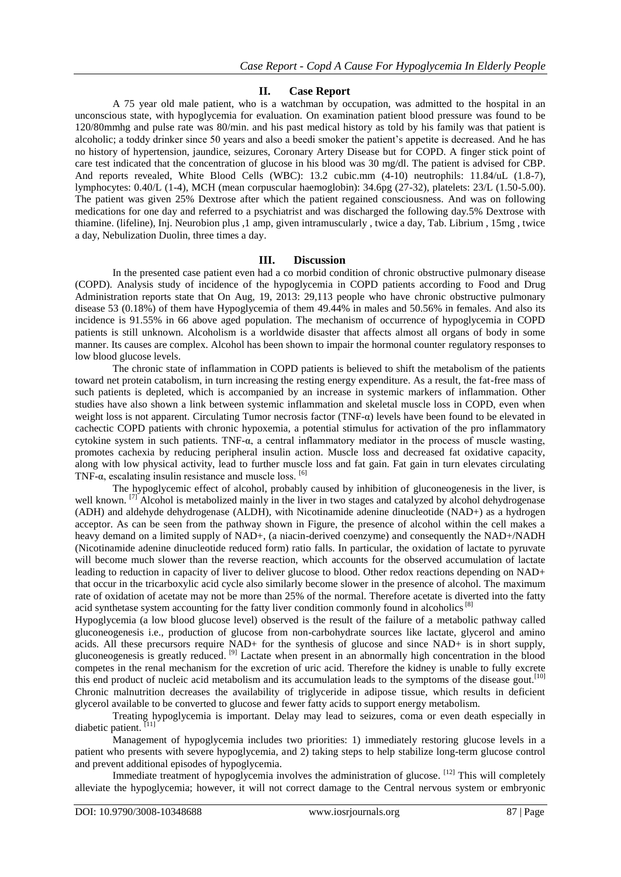# **II. Case Report**

A 75 year old male patient, who is a watchman by occupation, was admitted to the hospital in an unconscious state, with hypoglycemia for evaluation. On examination patient blood pressure was found to be 120/80mmhg and pulse rate was 80/min. and his past medical history as told by his family was that patient is alcoholic; a toddy drinker since 50 years and also a beedi smoker the patient's appetite is decreased. And he has no history of hypertension, jaundice, seizures, Coronary Artery Disease but for COPD. A finger stick point of care test indicated that the concentration of glucose in his blood was 30 mg/dl. The patient is advised for CBP. And reports revealed, White Blood Cells (WBC): 13.2 cubic.mm (4-10) neutrophils: 11.84/uL (1.8-7), lymphocytes: 0.40/L (1-4), MCH (mean corpuscular haemoglobin): 34.6pg (27-32), platelets: 23/L (1.50-5.00). The patient was given 25% Dextrose after which the patient regained consciousness. And was on following medications for one day and referred to a psychiatrist and was discharged the following day.5% Dextrose with thiamine. (lifeline), Inj. Neurobion plus ,1 amp, given intramuscularly , twice a day, Tab. Librium , 15mg , twice a day, Nebulization Duolin, three times a day.

#### **III. Discussion**

In the presented case patient even had a co morbid condition of chronic obstructive pulmonary disease (COPD). Analysis study of incidence of the hypoglycemia in COPD patients according to Food and Drug Administration reports state that On Aug, 19, 2013: 29,113 people who have chronic obstructive pulmonary disease 53 (0.18%) of them have Hypoglycemia of them 49.44% in males and 50.56% in females. And also its incidence is 91.55% in 66 above aged population. The mechanism of occurrence of hypoglycemia in COPD patients is still unknown. Alcoholism is a worldwide disaster that affects almost all organs of body in some manner. Its causes are complex. Alcohol has been shown to impair the hormonal counter regulatory responses to low blood glucose levels.

The chronic state of inflammation in COPD patients is believed to shift the metabolism of the patients toward net protein catabolism, in turn increasing the resting energy expenditure. As a result, the fat-free mass of such patients is depleted, which is accompanied by an increase in systemic markers of inflammation. Other studies have also shown a link between systemic inflammation and skeletal muscle loss in COPD, even when weight loss is not apparent. Circulating Tumor necrosis factor (TNF-α) levels have been found to be elevated in cachectic COPD patients with chronic hypoxemia, a potential stimulus for activation of the pro inflammatory cytokine system in such patients. TNF- $\alpha$ , a central inflammatory mediator in the process of muscle wasting, promotes cachexia by reducing peripheral insulin action. Muscle loss and decreased fat oxidative capacity, along with low physical activity, lead to further muscle loss and fat gain. Fat gain in turn elevates circulating TNF- $\alpha$ , escalating insulin resistance and muscle loss. <sup>[6]</sup>

The hypoglycemic effect of alcohol, probably caused by inhibition of gluconeogenesis in the liver, is well known. <sup>[7]</sup> Alcohol is metabolized mainly in the liver in two stages and catalyzed by alcohol dehydrogenase (ADH) and aldehyde dehydrogenase (ALDH), with Nicotinamide adenine dinucleotide (NAD+) as a hydrogen acceptor. As can be seen from the pathway shown in Figure, the presence of alcohol within the cell makes a heavy demand on a limited supply of NAD+, (a niacin-derived coenzyme) and consequently the NAD+/NADH (Nicotinamide adenine dinucleotide reduced form) ratio falls. In particular, the oxidation of lactate to pyruvate will become much slower than the reverse reaction, which accounts for the observed accumulation of lactate leading to reduction in capacity of liver to deliver glucose to blood. Other redox reactions depending on NAD+ that occur in the tricarboxylic acid cycle also similarly become slower in the presence of alcohol. The maximum rate of oxidation of acetate may not be more than 25% of the normal. Therefore acetate is diverted into the fatty acid synthetase system accounting for the fatty liver condition commonly found in alcoholics<sup>[8]</sup>

Hypoglycemia (a low blood glucose level) observed is the result of the failure of a metabolic pathway called gluconeogenesis i.e., production of glucose from non-carbohydrate sources like lactate, glycerol and amino acids. All these precursors require NAD+ for the synthesis of glucose and since NAD+ is in short supply, gluconeogenesis is greatly reduced.<sup>[9]</sup> Lactate when present in an abnormally high concentration in the blood competes in the renal mechanism for the excretion of uric acid. Therefore the kidney is unable to fully excrete this end product of nucleic acid metabolism and its accumulation leads to the symptoms of the disease gout.<sup>[10]</sup> Chronic malnutrition decreases the availability of triglyceride in adipose tissue, which results in deficient glycerol available to be converted to glucose and fewer fatty acids to support energy metabolism.

Treating hypoglycemia is important. Delay may lead to seizures, coma or even death especially in diabetic patient.<sup>[11]</sup>

Management of hypoglycemia includes two priorities: 1) immediately restoring glucose levels in a patient who presents with severe hypoglycemia, and 2) taking steps to help stabilize long-term glucose control and prevent additional episodes of hypoglycemia.

Immediate treatment of hypoglycemia involves the administration of glucose. [12] This will completely alleviate the hypoglycemia; however, it will not correct damage to the Central nervous system or embryonic